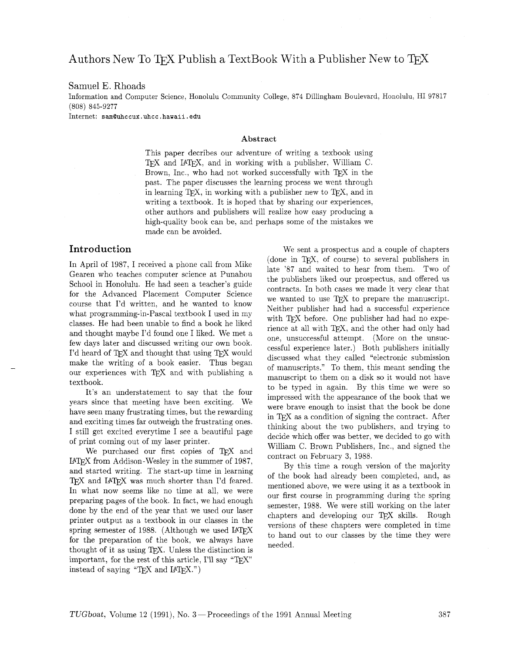# Authors New To TFX Publish a TextBook With a Publisher New to TFX

#### Samuel E. Rhoads

Information and Computer Science, Honolulu Community College, 874 Dillingham Boulevard, Honolulu, HI 97817 (808) 845-9277

Internet: **samQuhccux .uhcc** . **hawaii** . **edu** 

#### **Abstract**

This paper decribes our adventure of writing a texbook using TEX and IATEX, and in working with a publisher, William C. Brown, Inc., who had not worked successfully with *TFX* in the past. The paper discusses the learning process we went through in learning T<sub>F</sub>X, in working with a publisher new to T<sub>F</sub>X, and in writing a textbook. It is hoped that by sharing our experiences, other authors and publishers will realize how easy producing a high-quality book can be, and perhaps some of the mistakes we made can be avoided.

### **Introduction**

In April of 1987, I received a phone call from Mike Gearen who teaches computer science at Punahou School in Honolulu. He had seen a teacher's guide for the Advanced Placement Computer Science course that I'd written. and he wanted to know what programming-in-Pascal textbook I used in my classes. He had been unable to find a book he liked and thought maybe I'd found one I liked. We met a few days later and discussed writing our own book. I'd heard of TFX and thought that using TFX would make the writing of a book easier. Thus began our experiences with TEX and with publishing a textbook.

It's an understatement to say that the four years since that meeting have been exciting. We have seen many frustrating times. but the rewarding and exciting times far outweigh the frustrating ones. I still get excited everytime I see a beautiful page of print coming out of my laser printer.

We purchased our first copies of TFX and IPW from Addison-Wesley in the summer of 1987, and started writing. The start-up time in learning TEX and IATEX was much shorter than I'd feared. In what now seems like no time at all, we were preparing pages of the book. In fact, we had enough done by the end of the year that we used our laser printer output as a textbook in our classes in the spring semester of 1988. (Although we used  $IATFX$ for the preparation of the book, we always have thought of it as using  $TrX$ . Unless the distinction is important, for the rest of this article, I'll say "T<sub>F</sub>X" instead of saying " $Tr[X \text{ and } IATFX."$ )

We sent a prospectus and a couple of chapters (done in TEX. of course) to several publishers in late '87 and waited to hear from them. Two of the publishers liked our prospectus. and offered us contracts. In both cases we made it very clear that we wanted to use TFX to prepare the manuscript. Neither publisher had had a successful experience with TFX before. One publisher had had no experience at all with TEX, and the other had only had one, unsuccessful attempt. (More on the unsuccessful experience later.) Both publishers initially discussed what they called "electronic submission of manuscripts." To them, this meant sending the manuscript to them on a disk so it would not have to be typed in again. By this time we were so impressed with the appearance of the book that we were brave enough to insist that the book be done in T<sub>F</sub>X as a condition of signing the contract. After thinking about the two publishers, and trying to decide which offer was better, we decided to go with William C. Brown Publishers, Inc., and signed the contract on February **3,** 1988.

By this time a rough version of the majority of the book had already been completed, and, as mentioned above, we were using it as a textbook in our first course in programming during the spring semester, 1988. We were still working on the later chapters and developing our TFX skills. Rough versions of these chapters were completed in time to hand out to our classes by the time they were needed.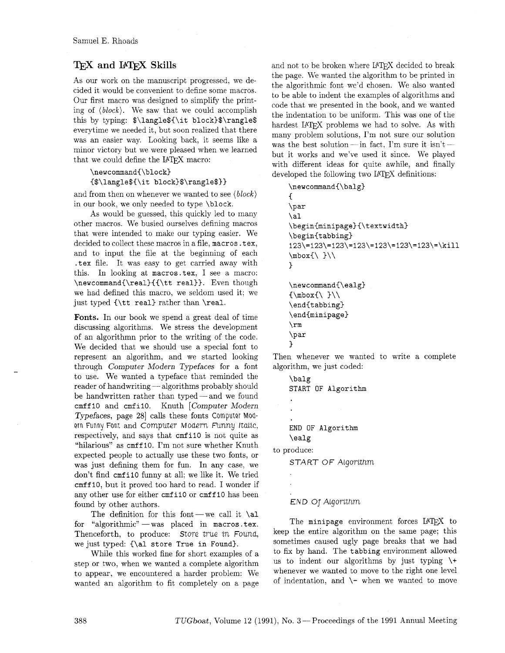## **TEX** and **I4TEX** Skills

As our work on the manuscript progressed, we decided it would be convenient to define some macros. Our first macro was designed to simplify the printing of *(block).* We saw that we could accomplish this by typing: **\$\langle\$C\it block)\$\rangle\$**  everytime we needed it, but soon realized that there was an easier way. Looking back, it seems like a minor victory but we were pleased when we learned that we could define the L<sup>AT</sup>EX macro:

# **\newcommand{\block) {\$\langle\${\it block)\$\rangle\$))**

and from then on whenever we wanted to see *(block)*  in our book, we only needed to type **\block.** 

As would be guessed, this quickly led to many other macros. We busied ourselves defining macros that were intended to make our typing easier. We decided to collect these macros in a file, **macros. tex,**  and to input the file at the beginning of each **.tex** file. It was easy to get carried away with this. In looking at **macros. tex.** I see a macro: **\newcommand(\real){{\tt real)).** Even though we had defined this macro, we seldom used it; we just typed **{\tt real)** rather than **\real.** 

**Fonts.** In our book we spend a great deal of time discussing algorithms. We stress the development of an algorithmn prior to the writing of the code. We decided that we should use a special font to represent an algorithm, and we started looking through Computer Modern Typefaces for a font to use. We wanted a typeface that reminded the through Computer Modern Typeraces for a font<br>to use. We wanted a typeface that reminded the<br>reader of handwriting - algorithms probably should be handwritten rather than typed—and we found **crnf f I0** and **crnf il0.** Knuth [Computer Modern Typefaces, page 28 calls these fonts Computer Modern Funny Font and Computer Modern Funny Italic, respectively, and says that **cmfil0** is not quite as "hilarious" as **cmff 10.** I'm not sure whether Knuth expected people to actually use these two fonts, or was just defining them for fun. In any case, we don't find **crnf i10** funny at all; we like it. We tried **cmff 10,** but it proved too hard to read. I wonder if any other use for either **crnf ilO** or **cmff 10** has been found by other authors.

The definition for this font-we call it  $\lambda$ <sup>1</sup> for "algorithmic" - was placed in macros.tex. Thenceforth, to produce: Store true in Found, we just typed: **{\a1 store True in Found).** 

While this worked fine for short examples of a step or two, when we wanted a complete algorithm to appear, we encountered a harder problem: We wanted an algorithm to fit completely on a page

and not to be broken where IAT<sub>F</sub>X decided to break the page. We wanted the algorithm to be printed in the algorithmic font we'd chosen. We also wanted to be able to indent the examples of algorithms and code that we presented in the book, and we wanted the indentation to be uniform. This was one of the hardest IATFX problems we had to solve. As with mardest  $BF<sub>1</sub>F<sub>A</sub>$  problems we had to solve. As with<br>many problem solutions, I'm not sure our solution<br>was the best solution - in fact, I'm sure it isn't but it works and we've used it since. We played with different ideas for quite awhile, and finally

```
developed the following two I4TEX definitions:<br>
\newcommand{\balg}
      \left\{ \right.\par
      \lambdaal
      \begin{minipage}{\textwidth}
      \begin{tabbing}
      123\leftarrow 123\leftarrow 123\leftarrow 123\leftarrow 123\leftarrow kill\mod( }
     \mathcal{F}\newcommand{\ealg}
      1/1 /}xodm/}
      \end{tabbing}
      \end{minipage}
      \rm\\par
      \mathbf{r}
```
Then whenever we wanted to write a complete algorithm, we just coded:

**\balg START OF Algorithm END OF Algorithm \ealg**  to produce: START OF Algorithm

### END Of Algorithm

The minipage environment forces IATEX to keep the entire algorithm on the same page; this sometimes caused ugly page breaks that we had to fix by hand. The **tabbing** environment allowed us to indent our algorithms by just typing  $\setminus +$ whenever we wanted to move to the right one level of indentation, and  $\setminus$ - when we wanted to move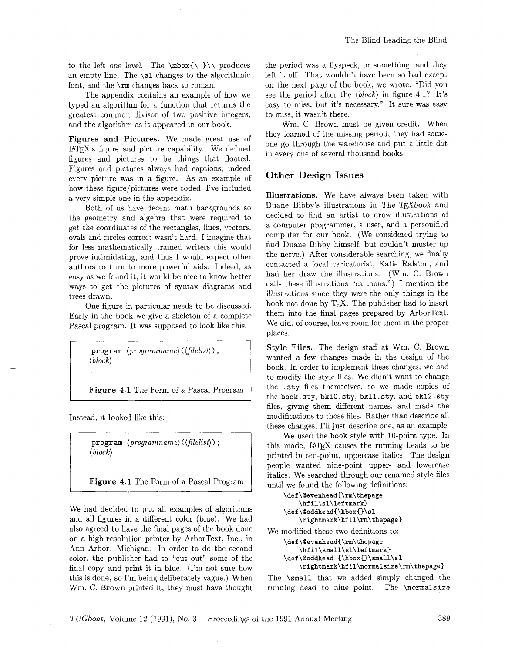to the left one level. The  $\mbox{\textless}\ \mbox{\textless}\ \mbox{\textless}\ \mbox{\textless}\ \mbox{\textless}\ \mbox{\textless}\ \mbox{\textless}\ \mbox{\textless}\ \mbox{\textless}\ \mbox{\textless}\ \mbox{\textless}\ \mbox{\textless}\ \mbox{\textless}\ \mbox{\textless}\ \mbox{\textless}\ \mbox{\textless}\ \mbox{\textless}\ \mbox{\textless}\ \mbox{\textless}\ \mbox{\textless}\ \mbox{\textless}\ \mbox{\textless}\ \mbox{\textless}\ \mbox{\textless}\ \mbox{\textless}\ \mbox{\textless}\ \mbox{\textless}\ \mbox{\$ an empty line. The \a1 changes to the algorithmic font, and the \rm changes back to roman.

The appendix contains an example of how we typed an algorithm for a function that returns the greatest common divisor of two positive integers, and the algorithm as it appeared in our book.

**Figures and Pictures.** We made great use of I4W's figure and picture capability. We defined figures and pictures to be things that floated. Figures and pictures always had captions; indeed every picture was in a figure. As an example of how these figure/pictures were coded, I've included a very simple one in the appendix.

Both of us have decent math backgrounds so the geometry and algebra that were required to get the coordinates of the rectangles, lines, vectors. ovals and circles correct wasn't hard. I imagine that for less mathematically trained writers this would prove intimidating, and thus I would expect other authors to turn to more powerful aids. Indeed, as easy as we found it, it would be nice to know better ways to get the pictures of syntax diagrams and trees drawn.

One figure in particular needs to be discussed. Early in the book we give a skeleton of a complete Pascal program. It was supposed to look like this:

> program *(programname)* ( *(filelist))* ; *(block)*

**Figure 4.1** The Form of a Pascal Program

Instead, it looked like this:

program *(programname)* ( *(filelist)* > ; *(block)* 

**Figure 4.1** The Form of a Pascal Program

We had decided to put all examples of algorithms and all figures in a different color (blue). We had also agreed to have the final pages of the book done on a high-resolution printer by ArborText, Inc., in Ann Arbor, Michigan. In order to do the second color, the publisher had to "cut out" some of the final copy and print it in blue. (I'm not sure how this is done, so I'm being deliberately vague.) When Wm. C. Brown printed it, they must have thought

the period was a flyspeck, or something, and they left it off. That wouldn't have been so bad except on the next page of the book, we wrote, "Did you see the period after the *(block)* in figure 4.1? It's easy to miss, but it's necessary." It sure was easy to miss, it wasn't there.

Wm. C. Brown must be given credit. When they learned of the missing period, they had someone go through the warehouse and put a little dot in every one of several thousand books.

### **Other Design Issues**

**Illustrations.** We have always been taken with Duane Bibby's illustrations in The TEXbook and decided to find an artist to draw illustrations of a computer programmer, a user, and a personified computer for our book. (We considered trying to find Duane Bibby himself, but couldn't muster up the nerve.) After considerable searching, we finally contacted a local caricaturist, Katie Ralston, and had her draw the illustrations. (Wm. C. Brown calls these illustrations "cartoons.") I mention the illustrations since they were the only things in the book not done by TEX. The publisher had to insert them into the final pages prepared by ArborText. We did, of course, leave room for them in the proper places.

**Style Files.** The design staff at Wm. C. Brown wanted a few changes made in the design of the book. In order to implement these changes, we had to modify the style files. We didn't want to change the .sty files themselves, so we made copies of the book.sty, bklO.sty, bkll.sty, and bkl2.sty files, giving them different names, and made the modifications to those files. Rather than describe all these changes, I'll just describe one, as an example.

We used the book style with 10-point type. In this mode, IATEX causes the running heads to be printed in ten-point, uppercase italics. The design people wanted nine-point upper- and lowercase italics. We searched through our renamed style files until we found the following definitions:

```
\def\Oevenhead{\rm\thepage 
    \hf il\sl\lef tmark) 
\def\Ooddhead{\hbox{}\sl 
    \rightmark\hfil\rm\thepage)
```
We modified these two definitions to:

```
\def\Qevenhead{\rm\thepage 
    \hfil\small\sl\leftmark) 
\def\Ooddhead {\hbox{)\small\sl 
    \rightrnark\hfil\normalsize\rm\thepage~
```
The \small that we added simply changed the running head to nine point. The **\normalsize**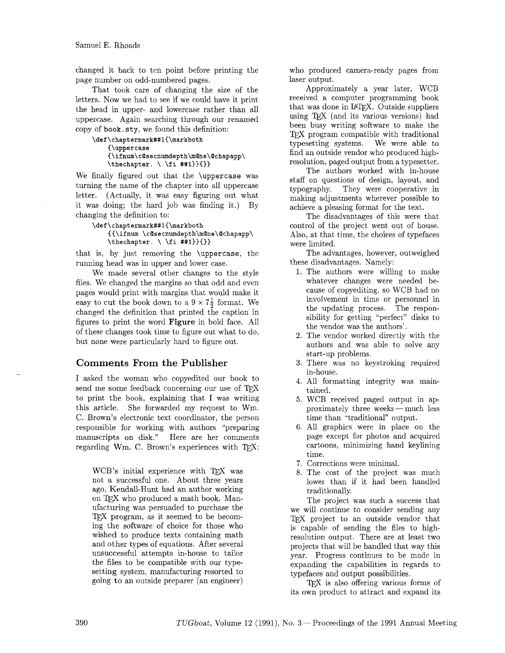changed it back to ten point before printing the page number on odd-numbered pages.

That took care of changing the size of the letters. Now we had to see if we could have it print the head in upper- and lowercase rather than all uppercase. Again searching through our renamed copy of book. sty, we found this definition:

```
\def\chaptermark##l{\markboth 
    {\uppercase 
    {\ifnum\cQsecnumdepth\mQne\Qchapapp\ 
    \thechapter. \ \fi ##1)){))
```
We finally figured out that the \uppercase was turning the name of the chapter into all uppercase letter. (Actually, it was easy figuring out what it was doing; the hard job was finding it.) By changing the definition to:

```
\def\chaptermark##1{\markboth
   {{\ifnum \c@secnumdepth\m@ne\@chapapp\
   \theta. \ \{ \theta \}
```
that is, by just removing the \uppercase, the running head was in upper and lower case.

We made several other changes to the style files. We changed the margins so that odd and even pages would print with margins that would make it easy to cut the book down to a  $9 \times 7\frac{1}{2}$  format. We changed the definition that printed the caption in figures to print the word **Figure** in bold face. All of these changes took time to figure out what to do, but none were particularly hard to figure out.

### Comments From the Publisher

I asked the woman who copyedited our book to send me some feedback concerning our use of  $T_F X$ to print the book, explaining that I was writing this article. She forwarded my request to Wm. C. Brown's electronic text coordinator, the person responsible for working with authors "preparing manuscripts on disk." Here are her comments regarding Wm. C. Brown's experiences with  $T_F X$ :

WCB's initial experience with TFX was not a successful one. About three years ago, Kendall-Hunt had an author working on TEX who produced a math book. Manufacturing was persuaded to purchase the TEX program, as it seemed to be becoming the software of choice for those who wished to produce texts containing math and other types of equations. After several unsuccessful attempts in- house to tailor the files to be compatible with our typesetting system, manufacturing resorted to going to an outside preparer (an engineer)

who produced camera-ready pages from laser output.

Approximately a year later, WCB received a computer programming book that was done in IATFX. Outside suppliers using TFJ (and its various versions) had been busy writing software to make the TFX program compatible with traditional typesetting systems. We were able to find an outside vendor who produced highresolution, paged output from a typesetter.

The authors worked with in-house staff on questions of design, layout, and typography. They were cooperative in making adjustments wherever possible to achieve a pleasing format for the text.

The disadvantages of this were that control of the project went out of house. Also, at that time, the choices of typefaces were limited.

The advantages, however, outweighed these disadvantages. Namely:

- 1. The authors were willing to make whatever changes were needed because of copyediting, so WCB had no involvement in time or personnel in the updating process. The responsibility for getting "perfect" disks to the vendor was the authors'.
- 2. The vendor worked directly with the authors and was able to solve any start-up problems.
- 3. There was no keystroking required in- house.
- 4. All formatting integrity was maintained.
- 5. WCB received paged output in approximately three weeks - much less time than "traditional" output.
- 6. All graphics were in place on the page except for photos and acquired cartoons, minimizing hand keylining time.
- 7. Corrections were minimal.
- 8. The cost of the project was much lower than if it had been handled traditionally.

The project was such a success that we will continue to consider sending any TFX project to an outside vendor that is capable of sending the files to highresolution output. There are at least two projects that will be handled that way this year. Progress continues to be made in expanding the capabilities in regards to typefaces and output possibilities.

T<sub>F</sub>X is also offering various forms of its own product to attract and expand its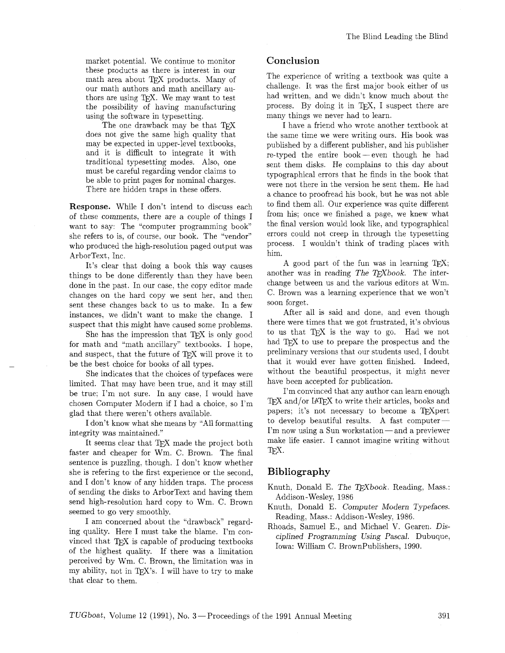market potential. We continue to monitor these products as there is interest in our math area about TFX products. Many of our math authors and math ancillary authors are using TFX. We may want to test the possibility of having manufacturing using the software in typesetting.

The one drawback may be that TFX does not give the same high quality that may be expected in upper-level textbooks, and it is difficult to integrate it with traditional typesetting modes. Also, one must be careful regarding vendor claims to be able to print pages for nominal charges. There are hidden traps in these offers.

Response. While I don't intend to discuss each of these comments, there are a couple of things I want to say: The "computer programming book" she refers to is, of course, our book. The "vendor" who produced the high-resolution paged output was ArborText, Inc.

It's clear that doing a book this way causes things to be done differently than they have been done in the past. In our case. the copy editor made changes on the hard copy we sent her, and then sent these changes back to us to make. In a few instances, we didn't want to make the change. I suspect that this might have caused some problems.

She has the impression that  $TFX$  is only good for math and "math ancillary" textbooks. I hope. and suspect, that the future of TFX will prove it to be the best choice for books of all types.

She indicates that the choices of typefaces were limited. That may have been true, and it may still be true; I'm not sure. In any case. I would have chosen Computer Modern if I had a choice. so I'm glad that there weren't others available.

I don't know what she means by "All formatting" integrity was maintained."

It seems clear that TEX made the project both faster and cheaper for Wm. C. Brown. The final sentence is puzzling, though. I don't know whether she is refering to the first experience or the second, and I don't know of any hidden traps. The process of sending the disks to ArborText and having them send high-resolution hard copy to Wm. C. Brown seemed to go very smoothly.

I am concerned about the "drawback" regarding quality. Here I must take the blame. I'm convinced that TFX is capable of producing textbooks of the highest quality. If there was a limitation perceived by Wm. C. Brown, the limitation was in my ability, not in  $T_F X$ 's. I will have to try to make that clear to them.

### **Conclusion**

The experience of writing a textbook was quite a challenge. It was the first major book either of us had written, and we didn't know much about the process. By doing it in TFX, I suspect there are many things we never had to learn.

I have a friend who wrote another textbook at the same time we were writing ours. His book was published by a different publisher, and his publisher re-typed the entire book-even though he had sent thern disks. He complains to this day about typographical errors that he finds in the book that were not there in the version he sent them. He had a chance to proofread his book, but he was not able to find them all. Our experience was quite different from his; once we finished a page, we knew what the final version would look like, and typographical errors could not creep in through the typesetting process. I wouldn't think of trading places with him.

A good part of the fun was in learning TFX; another was in reading The T $FXbook$ . The interchange between us and the various editors at Wm. C. Brown was a learning experience that we won't soon forget.

After all is said and done, and even though there were times that we got frustrated, it's obvious to us that TFX is the way to go. Had we not had T<sub>F</sub>X to use to prepare the prospectus and the preliminary versions that our students used, I doubt that it would ever have gotten finished. Indeed. without the beautiful prospectus, it might never have been accepted for publication.

I'm convinced that any author can learn enough TEX and/or LATEX to write their articles, books and papers; it's not necessary to become a TFXpert to develop beautiful results. A fast computer $-$ I'm now using a Sun workstation- and a previewer make life easier. I cannot imagine writing without T<sub>F</sub>X.

### **Bibliography**

- Knuth, Donald E. The TFXbook. Reading, Mass.: Addison-Wesley, 1986
- Knuth, Donald E. Computer Modern Typefaces. Reading, Mass.: Addison-Wesley, 1986.
- Rhoads, Samuel E., and Michael V. Gearen. Disciplined Programming Using Pascal. Dubuque, Iowa: William C. BrownPubIishers, 1990.